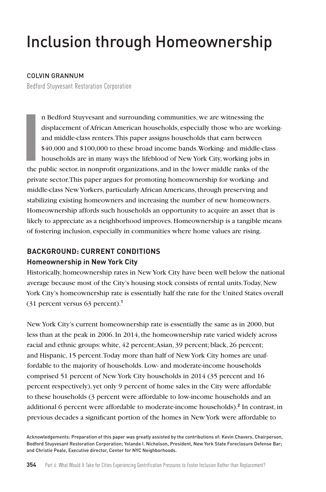# Inclusion through Homeownership

#### COLVIN GRANNUM

Bedford Stuyvesant Restoration Corporation

**I**<br> **I**<br> **I**<br> **I**<br> **I**<br> **I**<br> **I** n Bedford Stuyvesant and surrounding communities, we are witnessing the displacement of African American households, especially those who are workingand middle-class renters. This paper assigns households that earn between \$40,000 and \$100,000 to these broad income bands. Working- and middle-class households are in many ways the lifeblood of New York City, working jobs in the public sector, in nonprofit organizations, and in the lower middle ranks of the private sector. This paper argues for promoting homeownership for working- and middle-class New Yorkers, particularly African Americans, through preserving and stabilizing existing homeowners and increasing the number of new homeowners. Homeownership affords such households an opportunity to acquire an asset that is likely to appreciate as a neighborhood improves. Homeownership is a tangible means of fostering inclusion, especially in communities where home values are rising.

# **BACKGROUND: CURRENT CONDITIONS Homeownership in New York City**

Historically, homeownership rates in New York City have been well below the national average because most of the City's housing stock consists of rental units. Today, New York City's homeownership rate is essentially half the rate for the United States overall (31 percent versus 63 percent).**<sup>1</sup>**

New York City's current homeownership rate is essentially the same as in 2000, but less than at the peak in 2006. In 2014, the homeownership rate varied widely across racial and ethnic groups: white, 42 percent; Asian, 39 percent; black, 26 percent; and Hispanic, 15 percent. Today more than half of New York City homes are unaffordable to the majority of households. Low- and moderate-income households comprised 51 percent of New York City households in 2014 (35 percent and 16 percent respectively), yet only 9 percent of home sales in the City were affordable to these households (3 percent were affordable to low-income households and an additional 6 percent were affordable to moderate-income households).**<sup>2</sup>** In contrast, in previous decades a significant portion of the homes in New York were affordable to

Acknowledgements: Preparation of this paper was greatly assisted by the contributions of: Kevin Chavers, Chairperson, Bedford Stuyvesant Restoration Corporation; Yolande I. Nicholson, President, New York State Foreclosure Defense Bar; and Christie Peale, Executive director, Center for NYC Neighborhoods.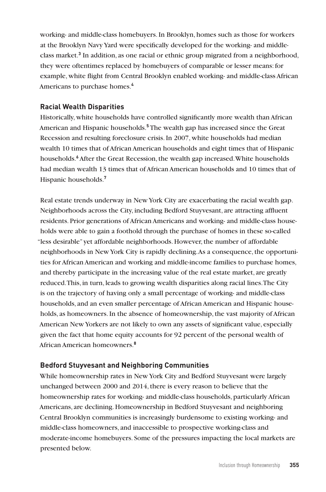working- and middle-class homebuyers. In Brooklyn, homes such as those for workers at the Brooklyn Navy Yard were specifically developed for the working- and middleclass market.**<sup>3</sup>** In addition, as one racial or ethnic group migrated from a neighborhood, they were oftentimes replaced by homebuyers of comparable or lesser means: for example, white flight from Central Brooklyn enabled working- and middle-class African Americans to purchase homes.**<sup>4</sup>**

# **Racial Wealth Disparities**

Historically, white households have controlled significantly more wealth than African American and Hispanic households.**<sup>5</sup>** The wealth gap has increased since the Great Recession and resulting foreclosure crisis. In 2007, white households had median wealth 10 times that of African American households and eight times that of Hispanic households.**<sup>6</sup>**After the Great Recession, the wealth gap increased. White households had median wealth 13 times that of African American households and 10 times that of Hispanic households.**<sup>7</sup>**

Real estate trends underway in New York City are exacerbating the racial wealth gap. Neighborhoods across the City, including Bedford Stuyvesant, are attracting affluent residents. Prior generations of African Americans and working- and middle-class households were able to gain a foothold through the purchase of homes in these so-called "less desirable" yet affordable neighborhoods. However, the number of affordable neighborhoods in New York City is rapidly declining. As a consequence, the opportunities for African American and working and middle-income families to purchase homes, and thereby participate in the increasing value of the real estate market, are greatly reduced. This, in turn, leads to growing wealth disparities along racial lines. The City is on the trajectory of having only a small percentage of working- and middle-class households, and an even smaller percentage of African American and Hispanic households, as homeowners. In the absence of homeownership, the vast majority of African American New Yorkers are not likely to own any assets of significant value, especially given the fact that home equity accounts for 92 percent of the personal wealth of African American homeowners.**<sup>8</sup>**

# **Bedford Stuyvesant and Neighboring Communities**

While homeownership rates in New York City and Bedford Stuyvesant were largely unchanged between 2000 and 2014, there is every reason to believe that the homeownership rates for working- and middle-class households, particularly African Americans, are declining. Homeownership in Bedford Stuyvesant and neighboring Central Brooklyn communities is increasingly burdensome to existing working- and middle-class homeowners, and inaccessible to prospective working-class and moderate-income homebuyers. Some of the pressures impacting the local markets are presented below.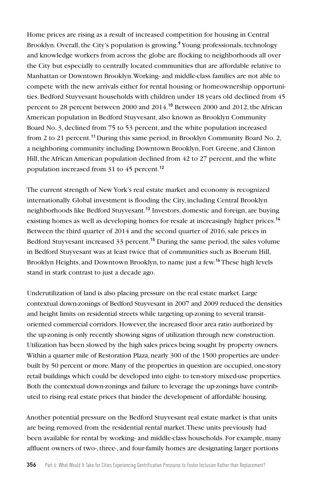Home prices are rising as a result of increased competition for housing in Central Brooklyn. Overall, the City's population is growing.**<sup>9</sup>** Young professionals, technology and knowledge workers from across the globe are flocking to neighborhoods all over the City but especially to centrally located communities that are affordable relative to Manhattan or Downtown Brooklyn. Working- and middle-class families are not able to compete with the new arrivals either for rental housing or homeownership opportunities. Bedford Stuyvesant households with children under 18 years old declined from 45 percent to 28 percent between 2000 and 2014.**<sup>10</sup>** Between 2000 and 2012, the African American population in Bedford Stuyvesant, also known as Brooklyn Community Board No. 3, declined from 75 to 53 percent, and the white population increased from 2 to 21 percent.**<sup>11</sup>** During this same period, in Brooklyn Community Board No. 2, a neighboring community including Downtown Brooklyn, Fort Greene, and Clinton Hill, the African American population declined from 42 to 27 percent, and the white population increased from 31 to 45 percent.**<sup>12</sup>**

The current strength of New York's real estate market and economy is recognized internationally. Global investment is flooding the City, including Central Brooklyn neighborhoods like Bedford Stuyvesant.**<sup>13</sup>** Investors, domestic and foreign, are buying existing homes as well as developing homes for resale at increasingly higher prices.**<sup>14</sup>** Between the third quarter of 2014 and the second quarter of 2016, sale prices in Bedford Stuyvesant increased 33 percent.**<sup>15</sup>** During the same period, the sales volume in Bedford Stuyvesant was at least twice that of communities such as Boerum Hill, Brooklyn Heights, and Downtown Brooklyn, to name just a few.**<sup>16</sup>** These high levels stand in stark contrast to just a decade ago.

Underutilization of land is also placing pressure on the real estate market. Large contextual down-zonings of Bedford Stuyvesant in 2007 and 2009 reduced the densities and height limits on residential streets while targeting up-zoning to several transitoriented commercial corridors. However, the increased floor area ratio authorized by the up-zoning is only recently showing signs of utilization through new construction. Utilization has been slowed by the high sales prices being sought by property owners. Within a quarter mile of Restoration Plaza, nearly 300 of the 1500 properties are underbuilt by 50 percent or more. Many of the properties in question are occupied, one-story retail buildings which could be developed into eight- to ten-story mixed-use properties. Both the contextual down-zonings and failure to leverage the up-zonings have contributed to rising real estate prices that hinder the development of affordable housing.

Another potential pressure on the Bedford Stuyvesant real estate market is that units are being removed from the residential rental market. These units previously had been available for rental by working- and middle-class households. For example, many affluent owners of two-, three-, and four-family homes are designating larger portions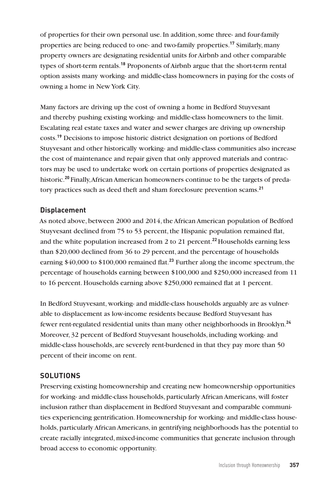of properties for their own personal use. In addition, some three- and four-family properties are being reduced to one- and two-family properties.**<sup>17</sup>** Similarly, many property owners are designating residential units for Airbnb and other comparable types of short-term rentals.**<sup>18</sup>** Proponents of Airbnb argue that the short-term rental option assists many working- and middle-class homeowners in paying for the costs of owning a home in New York City.

Many factors are driving up the cost of owning a home in Bedford Stuyvesant and thereby pushing existing working- and middle-class homeowners to the limit. Escalating real estate taxes and water and sewer charges are driving up ownership costs.**<sup>19</sup>** Decisions to impose historic district designation on portions of Bedford Stuyvesant and other historically working- and middle-class communities also increase the cost of maintenance and repair given that only approved materials and contractors may be used to undertake work on certain portions of properties designated as historic.**<sup>20</sup>** Finally, African American homeowners continue to be the targets of predatory practices such as deed theft and sham foreclosure prevention scams.**<sup>21</sup>**

# **Displacement**

As noted above, between 2000 and 2014, the African American population of Bedford Stuyvesant declined from 75 to 53 percent, the Hispanic population remained flat, and the white population increased from 2 to 21 percent.**<sup>22</sup>** Households earning less than \$20,000 declined from 36 to 29 percent, and the percentage of households earning \$40,000 to \$100,000 remained flat.**<sup>23</sup>** Further along the income spectrum, the percentage of households earning between \$100,000 and \$250,000 increased from 11 to 16 percent. Households earning above \$250,000 remained flat at 1 percent.

In Bedford Stuyvesant, working- and middle-class households arguably are as vulnerable to displacement as low-income residents because Bedford Stuyvesant has fewer rent-regulated residential units than many other neighborhoods in Brooklyn.**<sup>24</sup>** Moreover, 32 percent of Bedford Stuyvesant households, including working- and middle-class households, are severely rent-burdened in that they pay more than 50 percent of their income on rent.

# **SOLUTIONS**

Preserving existing homeownership and creating new homeownership opportunities for working- and middle-class households, particularly African Americans, will foster inclusion rather than displacement in Bedford Stuyvesant and comparable communities experiencing gentrification. Homeownership for working- and middle-class households, particularly African Americans, in gentrifying neighborhoods has the potential to create racially integrated, mixed-income communities that generate inclusion through broad access to economic opportunity.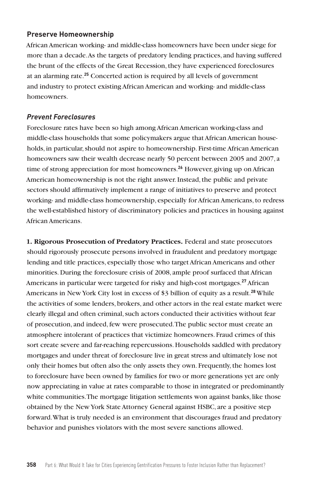#### **Preserve Homeownership**

African American working- and middle-class homeowners have been under siege for more than a decade. As the targets of predatory lending practices, and having suffered the brunt of the effects of the Great Recession, they have experienced foreclosures at an alarming rate.**<sup>25</sup>** Concerted action is required by all levels of government and industry to protect existing African American and working- and middle-class homeowners.

#### *Prevent Foreclosures*

Foreclosure rates have been so high among African American working-class and middle-class households that some policymakers argue that African American households, in particular, should not aspire to homeownership. First-time African American homeowners saw their wealth decrease nearly 50 percent between 2005 and 2007, a time of strong appreciation for most homeowners.**<sup>26</sup>** However, giving up on African American homeownership is not the right answer. Instead, the public and private sectors should affirmatively implement a range of initiatives to preserve and protect working- and middle-class homeownership, especially for African Americans, to redress the well-established history of discriminatory policies and practices in housing against African Americans.

**1. Rigorous Prosecution of Predatory Practices.** Federal and state prosecutors should rigorously prosecute persons involved in fraudulent and predatory mortgage lending and title practices, especially those who target African Americans and other minorities. During the foreclosure crisis of 2008, ample proof surfaced that African Americans in particular were targeted for risky and high-cost mortgages.**<sup>27</sup>** African Americans in New York City lost in excess of \$3 billion of equity as a result.**<sup>28</sup>**While the activities of some lenders, brokers, and other actors in the real estate market were clearly illegal and often criminal, such actors conducted their activities without fear of prosecution, and indeed, few were prosecuted. The public sector must create an atmosphere intolerant of practices that victimize homeowners. Fraud crimes of this sort create severe and far-reaching repercussions. Households saddled with predatory mortgages and under threat of foreclosure live in great stress and ultimately lose not only their homes but often also the only assets they own. Frequently, the homes lost to foreclosure have been owned by families for two or more generations yet are only now appreciating in value at rates comparable to those in integrated or predominantly white communities. The mortgage litigation settlements won against banks, like those obtained by the New York State Attorney General against HSBC, are a positive step forward. What is truly needed is an environment that discourages fraud and predatory behavior and punishes violators with the most severe sanctions allowed.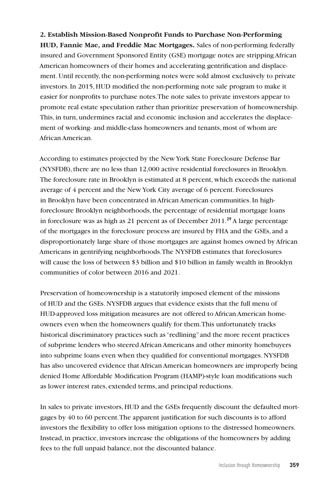#### **2. Establish Mission-Based Nonprofit Funds to Purchase Non-Performing**

**HUD, Fannie Mae, and Freddie Mac Mortgages.** Sales of non-performing federally insured and Government Sponsored Entity (GSE) mortgage notes are stripping African American homeowners of their homes and accelerating gentrification and displacement. Until recently, the non-performing notes were sold almost exclusively to private investors. In 2015, HUD modified the non-performing note sale program to make it easier for nonprofits to purchase notes. The note sales to private investors appear to promote real estate speculation rather than prioritize preservation of homeownership. This, in turn, undermines racial and economic inclusion and accelerates the displacement of working- and middle-class homeowners and tenants, most of whom are African American.

According to estimates projected by the New York State Foreclosure Defense Bar (NYSFDB), there are no less than 12,000 active residential foreclosures in Brooklyn. The foreclosure rate in Brooklyn is estimated at 8 percent, which exceeds the national average of 4 percent and the New York City average of 6 percent. Foreclosures in Brooklyn have been concentrated in African American communities. In highforeclosure Brooklyn neighborhoods, the percentage of residential mortgage loans in foreclosure was as high as 21 percent as of December 2011.**<sup>29</sup>** A large percentage of the mortgages in the foreclosure process are insured by FHA and the GSEs, and a disproportionately large share of those mortgages are against homes owned by African Americans in gentrifying neighborhoods. The NYSFDB estimates that foreclosures will cause the loss of between \$3 billion and \$10 billion in family wealth in Brooklyn communities of color between 2016 and 2021.

Preservation of homeownership is a statutorily imposed element of the missions of HUD and the GSEs. NYSFDB argues that evidence exists that the full menu of HUD-approved loss mitigation measures are not offered to African American homeowners even when the homeowners qualify for them. This unfortunately tracks historical discriminatory practices such as "redlining" and the more recent practices of subprime lenders who steered African Americans and other minority homebuyers into subprime loans even when they qualified for conventional mortgages. NYSFDB has also uncovered evidence that African American homeowners are improperly being denied Home Affordable Modification Program (HAMP)-style loan modifications such as lower interest rates, extended terms, and principal reductions.

In sales to private investors, HUD and the GSEs frequently discount the defaulted mortgages by 40 to 60 percent. The apparent justification for such discounts is to afford investors the flexibility to offer loss mitigation options to the distressed homeowners. Instead, in practice, investors increase the obligations of the homeowners by adding fees to the full unpaid balance, not the discounted balance.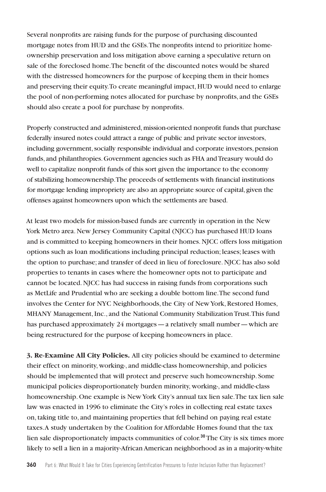Several nonprofits are raising funds for the purpose of purchasing discounted mortgage notes from HUD and the GSEs. The nonprofits intend to prioritize homeownership preservation and loss mitigation above earning a speculative return on sale of the foreclosed home. The benefit of the discounted notes would be shared with the distressed homeowners for the purpose of keeping them in their homes and preserving their equity. To create meaningful impact, HUD would need to enlarge the pool of non-performing notes allocated for purchase by nonprofits, and the GSEs should also create a pool for purchase by nonprofits.

Properly constructed and administered, mission-oriented nonprofit funds that purchase federally insured notes could attract a range of public and private sector investors, including government, socially responsible individual and corporate investors, pension funds, and philanthropies. Government agencies such as FHA and Treasury would do well to capitalize nonprofit funds of this sort given the importance to the economy of stabilizing homeownership. The proceeds of settlements with financial institutions for mortgage lending impropriety are also an appropriate source of capital, given the offenses against homeowners upon which the settlements are based.

At least two models for mission-based funds are currently in operation in the New York Metro area. New Jersey Community Capital (NJCC) has purchased HUD loans and is committed to keeping homeowners in their homes. NJCC offers loss mitigation options such as loan modifications including principal reduction; leases; leases with the option to purchase; and transfer of deed in lieu of foreclosure. NJCC has also sold properties to tenants in cases where the homeowner opts not to participate and cannot be located. NJCC has had success in raising funds from corporations such as MetLife and Prudential who are seeking a double bottom line. The second fund involves the Center for NYC Neighborhoods, the City of New York, Restored Homes, MHANY Management, Inc., and the National Community Stabilization Trust. This fund has purchased approximately 24 mortgages—a relatively small number—which are being restructured for the purpose of keeping homeowners in place.

**3. Re-Examine All City Policies.** All city policies should be examined to determine their effect on minority, working-, and middle-class homeownership, and policies should be implemented that will protect and preserve such homeownership. Some municipal policies disproportionately burden minority, working-, and middle-class homeownership. One example is New York City's annual tax lien sale. The tax lien sale law was enacted in 1996 to eliminate the City's roles in collecting real estate taxes on, taking title to, and maintaining properties that fell behind on paying real estate taxes. A study undertaken by the Coalition for Affordable Homes found that the tax lien sale disproportionately impacts communities of color.**<sup>30</sup>** The City is six times more likely to sell a lien in a majority-African American neighborhood as in a majority-white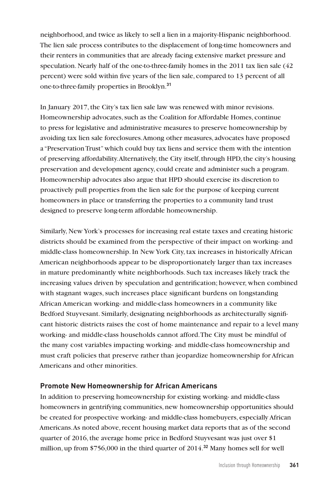neighborhood, and twice as likely to sell a lien in a majority-Hispanic neighborhood. The lien sale process contributes to the displacement of long-time homeowners and their renters in communities that are already facing extensive market pressure and speculation. Nearly half of the one-to-three-family homes in the 2011 tax lien sale (42 percent) were sold within five years of the lien sale, compared to 13 percent of all one-to-three-family properties in Brooklyn.**<sup>31</sup>**

In January 2017, the City's tax lien sale law was renewed with minor revisions. Homeownership advocates, such as the Coalition for Affordable Homes, continue to press for legislative and administrative measures to preserve homeownership by avoiding tax lien sale foreclosures. Among other measures, advocates have proposed a "Preservation Trust" which could buy tax liens and service them with the intention of preserving affordability. Alternatively, the City itself, through HPD, the city's housing preservation and development agency, could create and administer such a program. Homeownership advocates also argue that HPD should exercise its discretion to proactively pull properties from the lien sale for the purpose of keeping current homeowners in place or transferring the properties to a community land trust designed to preserve long-term affordable homeownership.

Similarly, New York's processes for increasing real estate taxes and creating historic districts should be examined from the perspective of their impact on working- and middle-class homeownership. In New York City, tax increases in historically African American neighborhoods appear to be disproportionately larger than tax increases in mature predominantly white neighborhoods. Such tax increases likely track the increasing values driven by speculation and gentrification; however, when combined with stagnant wages, such increases place significant burdens on longstanding African American working- and middle-class homeowners in a community like Bedford Stuyvesant. Similarly, designating neighborhoods as architecturally significant historic districts raises the cost of home maintenance and repair to a level many working- and middle-class households cannot afford. The City must be mindful of the many cost variables impacting working- and middle-class homeownership and must craft policies that preserve rather than jeopardize homeownership for African Americans and other minorities.

#### **Promote New Homeownership for African Americans**

In addition to preserving homeownership for existing working- and middle-class homeowners in gentrifying communities, new homeownership opportunities should be created for prospective working- and middle-class homebuyers, especially African Americans. As noted above, recent housing market data reports that as of the second quarter of 2016, the average home price in Bedford Stuyvesant was just over \$1 million, up from \$756,000 in the third quarter of 2014.**32** Many homes sell for well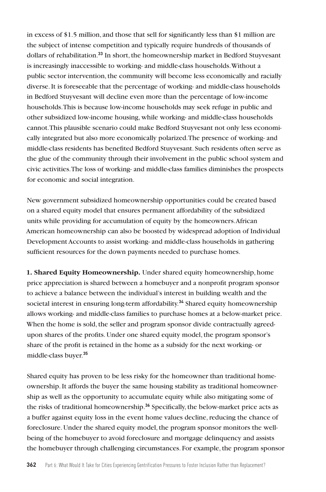in excess of \$1.5 million, and those that sell for significantly less than \$1 million are the subject of intense competition and typically require hundreds of thousands of dollars of rehabilitation.**<sup>33</sup>** In short, the homeownership market in Bedford Stuyvesant is increasingly inaccessible to working- and middle-class households. Without a public sector intervention, the community will become less economically and racially diverse. It is foreseeable that the percentage of working- and middle-class households in Bedford Stuyvesant will decline even more than the percentage of low-income households. This is because low-income households may seek refuge in public and other subsidized low-income housing, while working- and middle-class households cannot. This plausible scenario could make Bedford Stuyvesant not only less economically integrated but also more economically polarized. The presence of working- and middle-class residents has benefited Bedford Stuyvesant. Such residents often serve as the glue of the community through their involvement in the public school system and civic activities. The loss of working- and middle-class families diminishes the prospects for economic and social integration.

New government subsidized homeownership opportunities could be created based on a shared equity model that ensures permanent affordability of the subsidized units while providing for accumulation of equity by the homeowners. African American homeownership can also be boosted by widespread adoption of Individual Development Accounts to assist working- and middle-class households in gathering sufficient resources for the down payments needed to purchase homes.

**1. Shared Equity Homeownership.** Under shared equity homeownership, home price appreciation is shared between a homebuyer and a nonprofit program sponsor to achieve a balance between the individual's interest in building wealth and the societal interest in ensuring long-term affordability.**<sup>34</sup>** Shared equity homeownership allows working- and middle-class families to purchase homes at a below-market price. When the home is sold, the seller and program sponsor divide contractually agreedupon shares of the profits. Under one shared equity model, the program sponsor's share of the profit is retained in the home as a subsidy for the next working- or middle-class buyer.**<sup>35</sup>**

Shared equity has proven to be less risky for the homeowner than traditional homeownership. It affords the buyer the same housing stability as traditional homeownership as well as the opportunity to accumulate equity while also mitigating some of the risks of traditional homeownership.**<sup>36</sup>** Specifically, the below-market price acts as a buffer against equity loss in the event home values decline, reducing the chance of foreclosure. Under the shared equity model, the program sponsor monitors the wellbeing of the homebuyer to avoid foreclosure and mortgage delinquency and assists the homebuyer through challenging circumstances. For example, the program sponsor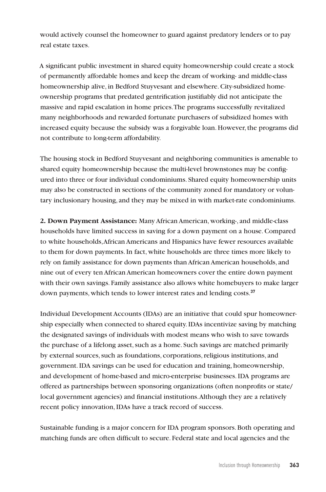would actively counsel the homeowner to guard against predatory lenders or to pay real estate taxes.

A significant public investment in shared equity homeownership could create a stock of permanently affordable homes and keep the dream of working- and middle-class homeownership alive, in Bedford Stuyvesant and elsewhere. City-subsidized homeownership programs that predated gentrification justifiably did not anticipate the massive and rapid escalation in home prices. The programs successfully revitalized many neighborhoods and rewarded fortunate purchasers of subsidized homes with increased equity because the subsidy was a forgivable loan. However, the programs did not contribute to long-term affordability.

The housing stock in Bedford Stuyvesant and neighboring communities is amenable to shared equity homeownership because the multi-level brownstones may be configured into three or four individual condominiums. Shared equity homeownership units may also be constructed in sections of the community zoned for mandatory or voluntary inclusionary housing, and they may be mixed in with market-rate condominiums.

**2. Down Payment Assistance:** Many African American, working-, and middle-class households have limited success in saving for a down payment on a house. Compared to white households, African Americans and Hispanics have fewer resources available to them for down payments. In fact, white households are three times more likely to rely on family assistance for down payments than African American households, and nine out of every ten African American homeowners cover the entire down payment with their own savings. Family assistance also allows white homebuyers to make larger down payments, which tends to lower interest rates and lending costs.**<sup>37</sup>**

Individual Development Accounts (IDAs) are an initiative that could spur homeownership especially when connected to shared equity. IDAs incentivize saving by matching the designated savings of individuals with modest means who wish to save towards the purchase of a lifelong asset, such as a home. Such savings are matched primarily by external sources, such as foundations, corporations, religious institutions, and government. IDA savings can be used for education and training, homeownership, and development of home-based and micro-enterprise businesses. IDA programs are offered as partnerships between sponsoring organizations (often nonprofits or state/ local government agencies) and financial institutions. Although they are a relatively recent policy innovation, IDAs have a track record of success.

Sustainable funding is a major concern for IDA program sponsors. Both operating and matching funds are often difficult to secure. Federal state and local agencies and the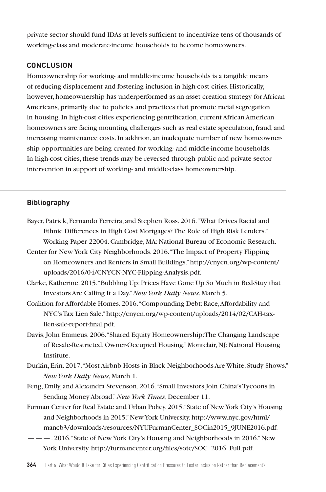private sector should fund IDAs at levels sufficient to incentivize tens of thousands of working-class and moderate-income households to become homeowners.

# **CONCLUSION**

Homeownership for working- and middle-income households is a tangible means of reducing displacement and fostering inclusion in high-cost cities. Historically, however, homeownership has underperformed as an asset creation strategy for African Americans, primarily due to policies and practices that promote racial segregation in housing. In high-cost cities experiencing gentrification, current African American homeowners are facing mounting challenges such as real estate speculation, fraud, and increasing maintenance costs. In addition, an inadequate number of new homeownership opportunities are being created for working- and middle-income households. In high-cost cities, these trends may be reversed through public and private sector intervention in support of working- and middle-class homeownership.

# **Bibliography**

- Bayer, Patrick, Fernando Ferreira, and Stephen Ross. 2016. "What Drives Racial and Ethnic Differences in High Cost Mortgages? The Role of High Risk Lenders." Working Paper 22004. Cambridge, MA: National Bureau of Economic Research.
- Center for New York City Neighborhoods. 2016. "The Impact of Property Flipping on Homeowners and Renters in Small Buildings." http://cnycn.org/wp-content/ uploads/2016/04/CNYCN-NYC-Flipping-Analysis.pdf.
- Clarke, Katherine. 2015. "Bubbling Up: Prices Have Gone Up So Much in Bed-Stuy that Investors Are Calling It a Day." *New York Daily News*, March 5.
- Coalition for Affordable Homes. 2016. "Compounding Debt: Race, Affordability and NYC's Tax Lien Sale." http://cnycn.org/wp-content/uploads/2014/02/CAH-taxlien-sale-report-final.pdf.
- Davis, John Emmeus. 2006. "Shared Equity Homeownership: The Changing Landscape of Resale-Restricted, Owner-Occupied Housing." Montclair, NJ: National Housing Institute.
- Durkin, Erin. 2017. "Most Airbnb Hosts in Black Neighborhoods Are White, Study Shows." *New York Daily News*, March 1.
- Feng, Emily, and Alexandra Stevenson. 2016. "Small Investors Join China's Tycoons in Sending Money Abroad." *New York Times*, December 11.
- Furman Center for Real Estate and Urban Policy. 2015. "State of New York City's Housing and Neighborhoods in 2015." New York University. http://www.nyc.gov/html/ mancb3/downloads/resources/NYUFurmanCenter\_SOCin2015\_9JUNE2016.pdf.
- ———. 2016. "State of New York City's Housing and Neighborhoods in 2016." New York University. http://furmancenter.org/files/sotc/SOC\_2016\_Full.pdf.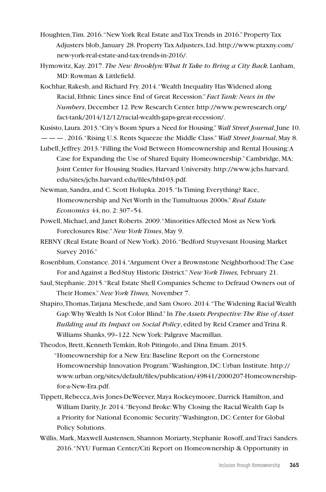- Houghten, Tim. 2016. "New York Real Estate and Tax Trends in 2016." Property Tax Adjusters blob, January 28. Property Tax Adjusters, Ltd. http://www.ptaxny.com/ new-york-real-estate-and-tax-trends-in-2016/.
- Hymowitz, Kay. 2017. *The New Brooklyn: What It Take to Bring a City Back.* Lanham, MD: Rowman & Littlefield.
- Kochhar, Rakesh, and Richard Fry. 2014. "Wealth Inequality Has Widened along Racial, Ethnic Lines since End of Great Recession." *Fact Tank: News in the Numbers*, December 12. Pew Research Center. http://www.pewresearch.org/ fact-tank/2014/12/12/racial-wealth-gaps-great-recession/.
- Kusisto, Laura. 2013. "City's Boom Spurs a Need for Housing." *Wall Street Journal*, June 10. ———. 2016. "Rising U.S. Rents Squeeze the Middle Class." *Wall Street Journal*, May 8.
- Lubell, Jeffrey. 2013. "Filling the Void Between Homeownership and Rental Housing: A Case for Expanding the Use of Shared Equity Homeownership." Cambridge, MA: Joint Center for Housing Studies, Harvard University. http://www.jchs.harvard. edu/sites/jchs.harvard.edu/files/hbtl-03.pdf.
- Newman, Sandra, and C. Scott Holupka. 2015. "Is Timing Everything? Race, Homeownership and Net Worth in the Tumultuous 2000s." *Real Estate Economics* 44, no. 2: 307–54.
- Powell, Michael, and Janet Roberts. 2009. "Minorities Affected Most as New York Foreclosures Rise." *New York Times*, May 9.
- REBNY (Real Estate Board of New York). 2016. "Bedford Stuyvesant Housing Market Survey 2016."
- Rosenblum, Constance. 2014. "Argument Over a Brownstone Neighborhood: The Case For and Against a Bed-Stuy Historic District." *New York Times,* February 21.
- Saul, Stephanie. 2015. "Real Estate Shell Companies Scheme to Defraud Owners out of Their Homes." *New York Times,* November 7.
- Shapiro, Thomas, Tatjana Meschede, and Sam Osoro. 2014. "The Widening Racial Wealth Gap: Why Wealth Is Not Color Blind." In *The Assets Perspective: The Rise of Asset Building and its Impact on Social Policy*, edited by Reid Cramer and Trina R. Williams Shanks, 99–122. New York: Palgrave Macmillan.

Theodos, Brett, Kenneth Temkin, Rob Pitingolo, and Dina Emam. 2015. "Homeownership for a New Era: Baseline Report on the Cornerstone Homeownership Innovation Program." Washington, DC: Urban Institute. http:// www.urban.org/sites/default/files/publication/49841/2000207-Homeownershipfor-a-New-Era.pdf.

- Tippett, Rebecca, Avis Jones-DeWeever, Maya Rockeymoore, Darrick Hamilton, and William Darity, Jr. 2014. "Beyond Broke: Why Closing the Racial Wealth Gap Is a Priority for National Economic Security." Washington, DC: Center for Global Policy Solutions.
- Willis, Mark, Maxwell Austensen, Shannon Moriarty, Stephanie Rosoff, and Traci Sanders. 2016. "NYU Furman Center/Citi Report on Homeownership & Opportunity in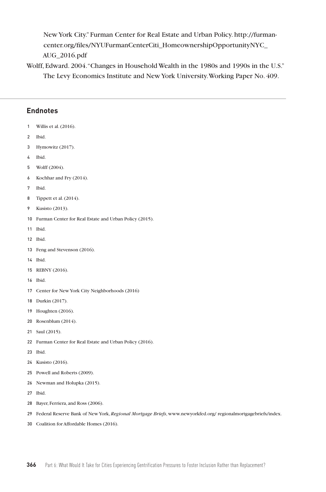New York City." Furman Center for Real Estate and Urban Policy. http://furmancenter.org/files/NYUFurmanCenterCiti\_HomeownershipOpportunityNYC\_ AUG\_2016.pdf

Wolff, Edward. 2004. "Changes in Household Wealth in the 1980s and 1990s in the U.S." The Levy Economics Institute and New York University. Working Paper No. 409.

# **Endnotes**

- Willis et al. (2016).
- Ibid.
- Hymowitz (2017).
- Ibid.
- Wolff (2004).
- Kochhar and Fry (2014).
- Ibid.
- Tippett et al. (2014).
- Kusisto (2013).
- Furman Center for Real Estate and Urban Policy (2015).
- Ibid.
- Ibid.
- Feng and Stevenson (2016).
- Ibid.
- REBNY (2016).
- Ibid.
- Center for New York City Neighborhoods (2016)
- Durkin (2017).
- Houghten (2016).
- Rosenblum (2014).
- Saul (2015).
- Furman Center for Real Estate and Urban Policy (2016).
- Ibid.
- Kusisto (2016).
- Powell and Roberts (2009).
- Newman and Holupka (2015).
- Ibid.
- Bayer, Ferriera, and Ross (2006).
- Federal Reserve Bank of New York, *Regional Mortgage Briefs*, www.newyorkfed.org/ regionalmortgagebriefs/index.
- Coalition for Affordable Homes (2016).